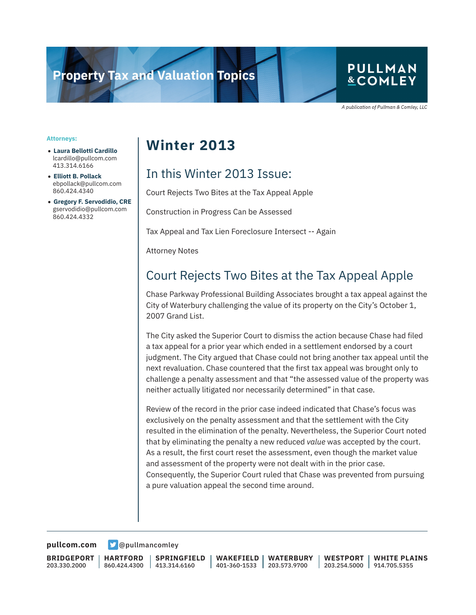# **Property Tax and Valuation Topics**

### **PULLMAN &COMLEY**

A publication of Pullman & Comley, LLC

#### **Attorneys:**

- **Laura Bellotti Cardillo** lcardillo@pullcom.com 413.314.6166
- **Elliott B. Pollack** ebpollack@pullcom.com 860.424.4340
- **Gregory F. Servodidio, CRE** gservodidio@pullcom.com 860.424.4332

## **Winter 2013**

### In this Winter 2013 Issue:

Court Rejects Two Bites at the Tax Appeal Apple

Construction in Progress Can be Assessed

Tax Appeal and Tax Lien Foreclosure Intersect -- Again

Attorney Notes

### Court Rejects Two Bites at the Tax Appeal Apple

Chase Parkway Professional Building Associates brought a tax appeal against the City of Waterbury challenging the value of its property on the City's October 1, 2007 Grand List.

The City asked the Superior Court to dismiss the action because Chase had filed a tax appeal for a prior year which ended in a settlement endorsed by a court judgment. The City argued that Chase could not bring another tax appeal until the next revaluation. Chase countered that the first tax appeal was brought only to challenge a penalty assessment and that "the assessed value of the property was neither actually litigated nor necessarily determined" in that case.

Review of the record in the prior case indeed indicated that Chase's focus was exclusively on the penalty assessment and that the settlement with the City resulted in the elimination of the penalty. Nevertheless, the Superior Court noted that by eliminating the penalty a new reduced *value* was accepted by the court. As a result, the first court reset the assessment, even though the market value and assessment of the property were not dealt with in the prior case. Consequently, the Superior Court ruled that Chase was prevented from pursuing a pure valuation appeal the second time around.

**[pullcom.com](https://www.pullcom.com) g** [@pullmancomley](https://twitter.com/PullmanComley)

**BRIDGEPORT** 203.330.2000

**HARTFORD** 860.424.4300

**SPRINGFIELD** 413.314.6160

**WAKEFIELD** 401-360-1533 **WATERBURY** 203.573.9700

**WESTPORT** 203.254.5000 914.705.5355 **WHITE PLAINS**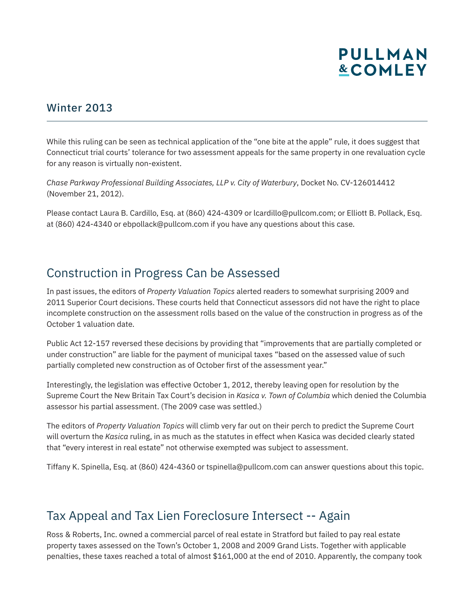# **PULLMAN &COMLEY**

#### Winter 2013

While this ruling can be seen as technical application of the "one bite at the apple" rule, it does suggest that Connecticut trial courts' tolerance for two assessment appeals for the same property in one revaluation cycle for any reason is virtually non-existent.

*Chase Parkway Professional Building Associates, LLP v. City of Waterbury*, Docket No. CV-126014412 (November 21, 2012).

Please contact Laura B. Cardillo, Esq. at (860) 424-4309 or lcardillo@pullcom.com; or Elliott B. Pollack, Esq. at (860) 424-4340 or ebpollack@pullcom.com if you have any questions about this case.

### Construction in Progress Can be Assessed

In past issues, the editors of *Property Valuation Topics* alerted readers to somewhat surprising 2009 and 2011 Superior Court decisions. These courts held that Connecticut assessors did not have the right to place incomplete construction on the assessment rolls based on the value of the construction in progress as of the October 1 valuation date.

Public Act 12-157 reversed these decisions by providing that "improvements that are partially completed or under construction" are liable for the payment of municipal taxes "based on the assessed value of such partially completed new construction as of October first of the assessment year."

Interestingly, the legislation was effective October 1, 2012, thereby leaving open for resolution by the Supreme Court the New Britain Tax Court's decision in *Kasica v. Town of Columbia* which denied the Columbia assessor his partial assessment. (The 2009 case was settled.)

The editors of *Property Valuation Topics* will climb very far out on their perch to predict the Supreme Court will overturn the *Kasica* ruling, in as much as the statutes in effect when Kasica was decided clearly stated that "every interest in real estate" not otherwise exempted was subject to assessment.

Tiffany K. Spinella, Esq. at (860) 424-4360 or tspinella@pullcom.com can answer questions about this topic.

### Tax Appeal and Tax Lien Foreclosure Intersect -- Again

Ross & Roberts, Inc. owned a commercial parcel of real estate in Stratford but failed to pay real estate property taxes assessed on the Town's October 1, 2008 and 2009 Grand Lists. Together with applicable penalties, these taxes reached a total of almost \$161,000 at the end of 2010. Apparently, the company took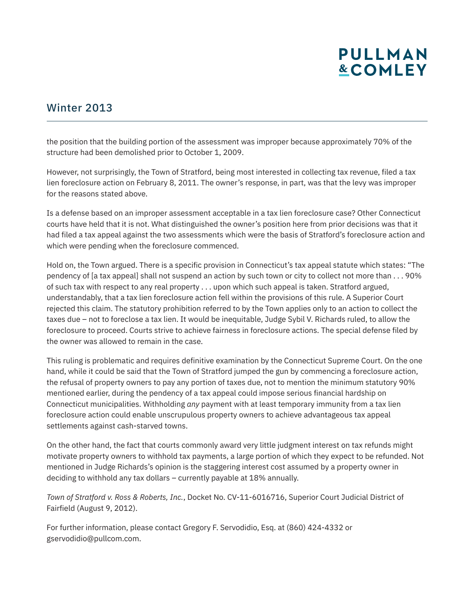# **PULLMAN &COMLEY**

#### Winter 2013

the position that the building portion of the assessment was improper because approximately 70% of the structure had been demolished prior to October 1, 2009.

However, not surprisingly, the Town of Stratford, being most interested in collecting tax revenue, filed a tax lien foreclosure action on February 8, 2011. The owner's response, in part, was that the levy was improper for the reasons stated above.

Is a defense based on an improper assessment acceptable in a tax lien foreclosure case? Other Connecticut courts have held that it is not. What distinguished the owner's position here from prior decisions was that it had filed a tax appeal against the two assessments which were the basis of Stratford's foreclosure action and which were pending when the foreclosure commenced.

Hold on, the Town argued. There is a specific provision in Connecticut's tax appeal statute which states: "The pendency of [a tax appeal] shall not suspend an action by such town or city to collect not more than . . . 90% of such tax with respect to any real property . . . upon which such appeal is taken. Stratford argued, understandably, that a tax lien foreclosure action fell within the provisions of this rule. A Superior Court rejected this claim. The statutory prohibition referred to by the Town applies only to an action to collect the taxes due – not to foreclose a tax lien. It would be inequitable, Judge Sybil V. Richards ruled, to allow the foreclosure to proceed. Courts strive to achieve fairness in foreclosure actions. The special defense filed by the owner was allowed to remain in the case.

This ruling is problematic and requires definitive examination by the Connecticut Supreme Court. On the one hand, while it could be said that the Town of Stratford jumped the gun by commencing a foreclosure action, the refusal of property owners to pay any portion of taxes due, not to mention the minimum statutory 90% mentioned earlier, during the pendency of a tax appeal could impose serious financial hardship on Connecticut municipalities. Withholding *any* payment with at least temporary immunity from a tax lien foreclosure action could enable unscrupulous property owners to achieve advantageous tax appeal settlements against cash-starved towns.

On the other hand, the fact that courts commonly award very little judgment interest on tax refunds might motivate property owners to withhold tax payments, a large portion of which they expect to be refunded. Not mentioned in Judge Richards's opinion is the staggering interest cost assumed by a property owner in deciding to withhold any tax dollars – currently payable at 18% annually.

*Town of Stratford v. Ross & Roberts, Inc.*, Docket No. CV-11-6016716, Superior Court Judicial District of Fairfield (August 9, 2012).

For further information, please contact Gregory F. Servodidio, Esq. at (860) 424-4332 or gservodidio@pullcom.com.